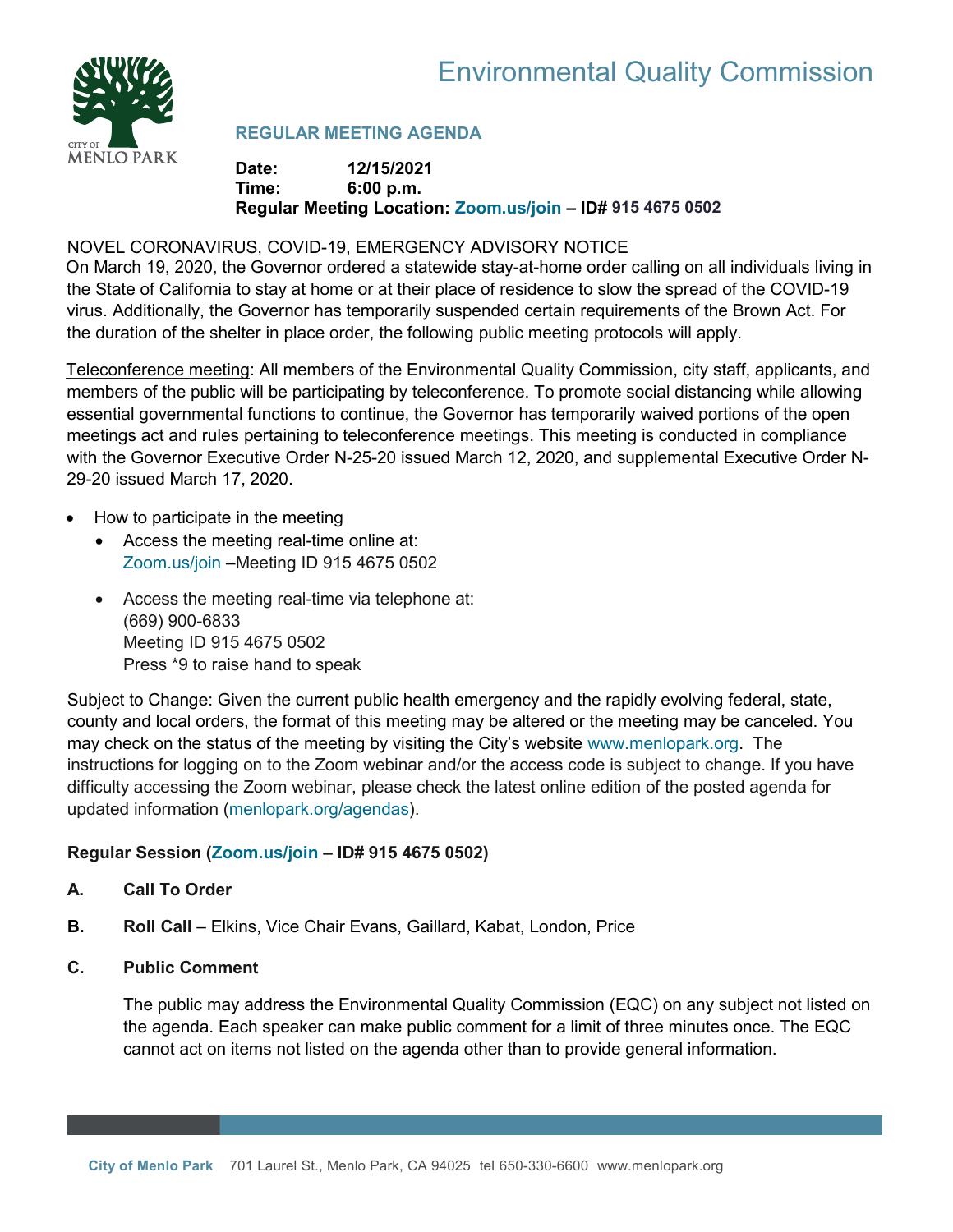



# **REGULAR MEETING AGENDA**

## **Date: 12/15/2021 Time: 6:00 p.m. Regular Meeting Location: [Zoom.us/join](https://zoom.us/join) – ID# 915 4675 0502**

# NOVEL CORONAVIRUS, COVID-19, EMERGENCY ADVISORY NOTICE

On March 19, 2020, the Governor ordered a statewide stay-at-home order calling on all individuals living in the State of California to stay at home or at their place of residence to slow the spread of the COVID-19 virus. Additionally, the Governor has temporarily suspended certain requirements of the Brown Act. For the duration of the shelter in place order, the following public meeting protocols will apply.

Teleconference meeting: All members of the Environmental Quality Commission, city staff, applicants, and members of the public will be participating by teleconference. To promote social distancing while allowing essential governmental functions to continue, the Governor has temporarily waived portions of the open meetings act and rules pertaining to teleconference meetings. This meeting is conducted in compliance with the Governor Executive Order N-25-20 issued March 12, 2020, and supplemental Executive Order N-29-20 issued March 17, 2020.

- How to participate in the meeting
	- Access the meeting real-time online at: [Zoom.us/join](https://zoom.us/join) –Meeting ID 915 4675 0502
	- Access the meeting real-time via telephone at: (669) 900-6833 Meeting ID 915 4675 0502 Press \*9 to raise hand to speak

Subject to Change: Given the current public health emergency and the rapidly evolving federal, state, county and local orders, the format of this meeting may be altered or the meeting may be canceled. You may check on the status of the meeting by visiting the City's website [www.menlopark.org.](http://www.menlopark.org/)The instructions for logging on to the Zoom webinar and/or the access code is subject to change. If you have difficulty accessing the Zoom webinar, please check the latest online edition of the posted agenda for updated information [\(menlopark.org/agendas\)](https://www.menlopark.org/AgendaCenter).

# **Regular Session [\(Zoom.us/join](https://zoom.us/join) – ID# 915 4675 0502)**

# **A. Call To Order**

- **B.** Roll Call Elkins, Vice Chair Evans, Gaillard, Kabat, London, Price
- **C. Public Comment**

The public may address the Environmental Quality Commission (EQC) on any subject not listed on the agenda. Each speaker can make public comment for a limit of three minutes once. The EQC cannot act on items not listed on the agenda other than to provide general information.